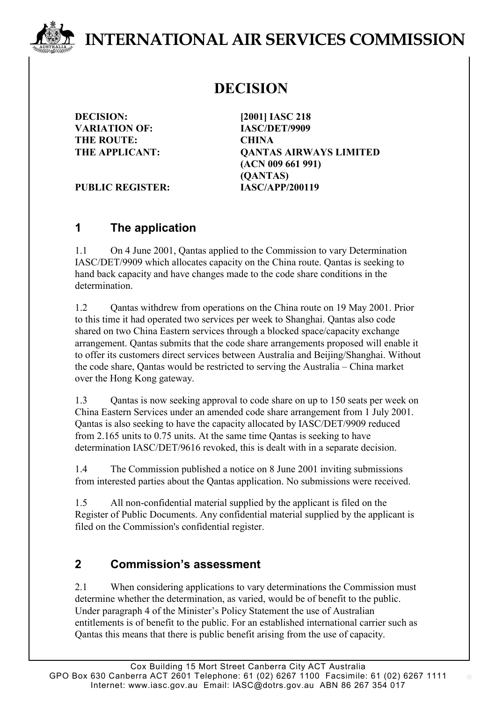# **INTERNATIONAL AIR SERVICES COMMISSION**

## **DECISION**

**DECISION: [2001] IASC 218 VARIATION OF: IASC/DET/9909 THE ROUTE: CHINA**

**THE APPLICANT: QANTAS AIRWAYS LIMITED (ACN 009 661 991) (QANTAS)**

PUBLIC REGISTER: **IASC/APP/200119** 

#### **1 The application**

1.1 On 4 June 2001, Qantas applied to the Commission to vary Determination IASC/DET/9909 which allocates capacity on the China route. Qantas is seeking to hand back capacity and have changes made to the code share conditions in the determination.

1.2 Cantas withdrew from operations on the China route on 19 May 2001. Prior to this time it had operated two services per week to Shanghai. Qantas also code shared on two China Eastern services through a blocked space/capacity exchange arrangement. Qantas submits that the code share arrangements proposed will enable it to offer its customers direct services between Australia and Beijing/Shanghai. Without the code share, Qantas would be restricted to serving the Australia – China market over the Hong Kong gateway.

1.3 Qantas is now seeking approval to code share on up to 150 seats per week on China Eastern Services under an amended code share arrangement from 1 July 2001. Qantas is also seeking to have the capacity allocated by IASC/DET/9909 reduced from 2.165 units to 0.75 units. At the same time Qantas is seeking to have determination IASC/DET/9616 revoked, this is dealt with in a separate decision.

1.4 The Commission published a notice on 8 June 2001 inviting submissions from interested parties about the Qantas application. No submissions were received.

1.5 All non-confidential material supplied by the applicant is filed on the Register of Public Documents. Any confidential material supplied by the applicant is filed on the Commission's confidential register.

#### **2 Commission's assessment**

2.1 When considering applications to vary determinations the Commission must determine whether the determination, as varied, would be of benefit to the public. Under paragraph 4 of the Minister's Policy Statement the use of Australian entitlements is of benefit to the public. For an established international carrier such as Qantas this means that there is public benefit arising from the use of capacity.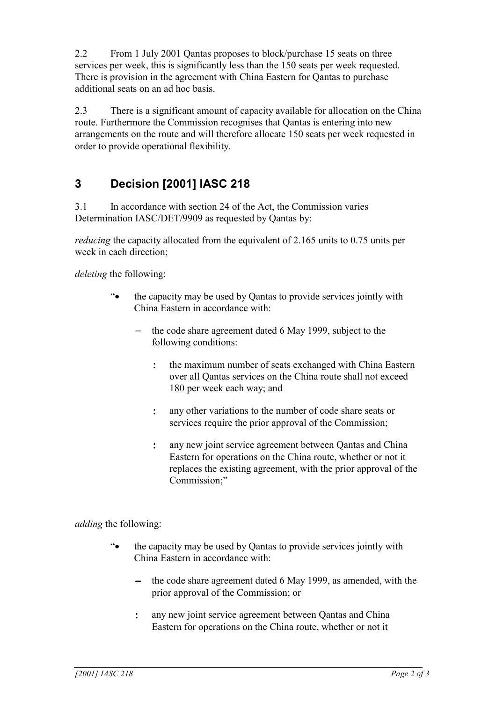2.2 From 1 July 2001 Qantas proposes to block/purchase 15 seats on three services per week, this is significantly less than the 150 seats per week requested. There is provision in the agreement with China Eastern for Qantas to purchase additional seats on an ad hoc basis.

2.3 There is a significant amount of capacity available for allocation on the China route. Furthermore the Commission recognises that Qantas is entering into new arrangements on the route and will therefore allocate 150 seats per week requested in order to provide operational flexibility.

### **3 Decision [2001] IASC 218**

3.1 In accordance with section 24 of the Act, the Commission varies Determination IASC/DET/9909 as requested by Qantas by:

*reducing* the capacity allocated from the equivalent of 2.165 units to 0.75 units per week in each direction;

*deleting* the following:

- "• the capacity may be used by Qantas to provide services jointly with China Eastern in accordance with:
	- the code share agreement dated 6 May 1999, subject to the following conditions:
		- : the maximum number of seats exchanged with China Eastern over all Qantas services on the China route shall not exceed 180 per week each way; and
		- : any other variations to the number of code share seats or services require the prior approval of the Commission;
		- : any new joint service agreement between Qantas and China Eastern for operations on the China route, whether or not it replaces the existing agreement, with the prior approval of the Commission;"

*adding* the following:

- "• the capacity may be used by Qantas to provide services jointly with China Eastern in accordance with:
	- − the code share agreement dated 6 May 1999, as amended, with the prior approval of the Commission; or
	- : any new joint service agreement between Qantas and China Eastern for operations on the China route, whether or not it